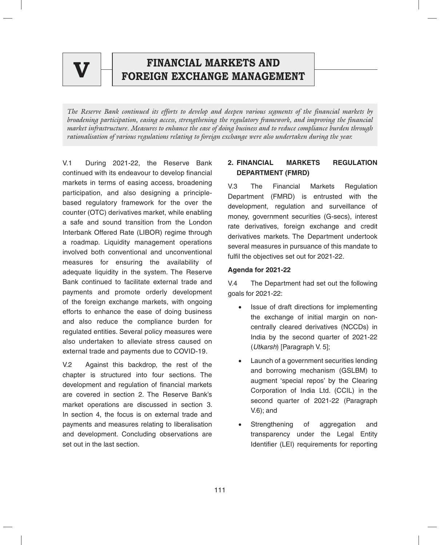

## **FINANCIAL MARKETS AND FOREIGN EXCHANGEMENT EXCHANGEMENT FINANCIAL MARKETS AND V FOREIGN EXCHANGE MANAGEMENT**

*The Reserve Bank continued its efforts to develop and deepen various segments of the financial markets by broadening participation, easing access, strengthening the regulatory framework, and improving the financial market infrastructure. Measures to enhance the ease of doing business and to reduce compliance burden through rationalisation of various regulations relating to foreign exchange were also undertaken during the year.* 

V.1 During 2021-22, the Reserve Bank continued with its endeavour to develop financial markets in terms of easing access, broadening participation, and also designing a principlebased regulatory framework for the over the counter (OTC) derivatives market, while enabling a safe and sound transition from the London Interbank Offered Rate (LIBOR) regime through a roadmap. Liquidity management operations involved both conventional and unconventional measures for ensuring the availability of adequate liquidity in the system. The Reserve Bank continued to facilitate external trade and payments and promote orderly development of the foreign exchange markets, with ongoing efforts to enhance the ease of doing business and also reduce the compliance burden for regulated entities. Several policy measures were also undertaken to alleviate stress caused on external trade and payments due to COVID-19.

V.2 Against this backdrop, the rest of the chapter is structured into four sections. The development and regulation of financial markets are covered in section 2. The Reserve Bank's market operations are discussed in section 3. In section 4, the focus is on external trade and payments and measures relating to liberalisation and development. Concluding observations are set out in the last section.

## **2. FINANCIAL MARKETS REGULATION DEPARTMENT (FMRD)**

V.3 The Financial Markets Regulation Department (FMRD) is entrusted with the development, regulation and surveillance of money, government securities (G-secs), interest rate derivatives, foreign exchange and credit derivatives markets. The Department undertook several measures in pursuance of this mandate to fulfil the objectives set out for 2021-22.

### **Agenda for 2021-22**

V.4 The Department had set out the following goals for 2021-22:

- Issue of draft directions for implementing the exchange of initial margin on noncentrally cleared derivatives (NCCDs) in India by the second quarter of 2021-22 (*Utkarsh*) [Paragraph V. 5];
- Launch of a government securities lending and borrowing mechanism (GSLBM) to augment 'special repos' by the Clearing Corporation of India Ltd. (CCIL) in the second quarter of 2021-22 (Paragraph V.6); and
- Strengthening of aggregation and transparency under the Legal Entity Identifier (LEI) requirements for reporting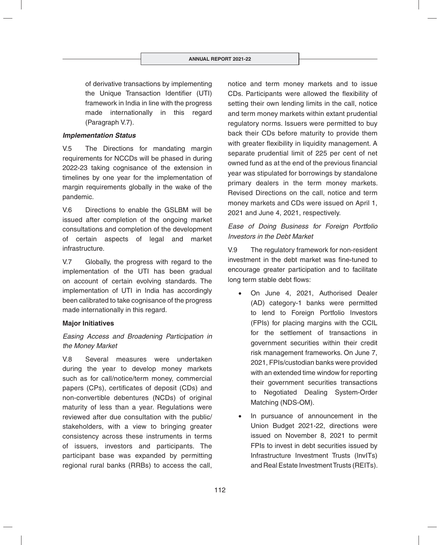of derivative transactions by implementing the Unique Transaction Identifier (UTI) framework in India in line with the progress made internationally in this regard (Paragraph V.7).

#### *Implementation Status*

V.5 The Directions for mandating margin requirements for NCCDs will be phased in during 2022-23 taking cognisance of the extension in timelines by one year for the implementation of margin requirements globally in the wake of the pandemic.

V.6 Directions to enable the GSLBM will be issued after completion of the ongoing market consultations and completion of the development of certain aspects of legal and market infrastructure.

V.7 Globally, the progress with regard to the implementation of the UTI has been gradual on account of certain evolving standards. The implementation of UTI in India has accordingly been calibrated to take cognisance of the progress made internationally in this regard.

#### **Major Initiatives**

### *Easing Access and Broadening Participation in the Money Market*

V.8 Several measures were undertaken during the year to develop money markets such as for call/notice/term money, commercial papers (CPs), certificates of deposit (CDs) and non-convertible debentures (NCDs) of original maturity of less than a year. Regulations were reviewed after due consultation with the public/ stakeholders, with a view to bringing greater consistency across these instruments in terms of issuers, investors and participants. The participant base was expanded by permitting regional rural banks (RRBs) to access the call,

notice and term money markets and to issue CDs. Participants were allowed the flexibility of setting their own lending limits in the call, notice and term money markets within extant prudential regulatory norms. Issuers were permitted to buy back their CDs before maturity to provide them with greater flexibility in liquidity management. A separate prudential limit of 225 per cent of net owned fund as at the end of the previous financial year was stipulated for borrowings by standalone primary dealers in the term money markets. Revised Directions on the call, notice and term money markets and CDs were issued on April 1, 2021 and June 4, 2021, respectively.

### *Ease of Doing Business for Foreign Portfolio Investors in the Debt Market*

V.9 The regulatory framework for non-resident investment in the debt market was fine-tuned to encourage greater participation and to facilitate long term stable debt flows:

- On June 4, 2021, Authorised Dealer (AD) category-1 banks were permitted to lend to Foreign Portfolio Investors (FPIs) for placing margins with the CCIL for the settlement of transactions in government securities within their credit risk management frameworks. On June 7, 2021, FPIs/custodian banks were provided with an extended time window for reporting their government securities transactions to Negotiated Dealing System-Order Matching (NDS-OM).
- In pursuance of announcement in the Union Budget 2021-22, directions were issued on November 8, 2021 to permit FPIs to invest in debt securities issued by Infrastructure Investment Trusts (InvITs) and Real Estate Investment Trusts (REITs).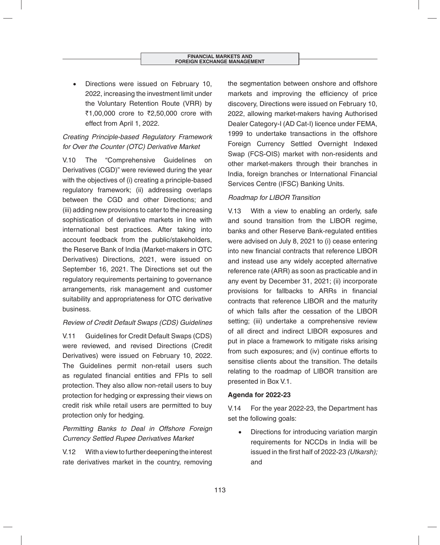Directions were issued on February 10, 2022, increasing the investment limit under the Voluntary Retention Route (VRR) by ₹1,00,000 crore to ₹2,50,000 crore with effect from April 1, 2022.

# *Creating Principle-based Regulatory Framework for Over the Counter (OTC) Derivative Market*

V.10 The "Comprehensive Guidelines on Derivatives (CGD)" were reviewed during the year with the objectives of (i) creating a principle-based regulatory framework; (ii) addressing overlaps between the CGD and other Directions; and (iii) adding new provisions to cater to the increasing sophistication of derivative markets in line with international best practices. After taking into account feedback from the public/stakeholders, the Reserve Bank of India (Market-makers in OTC Derivatives) Directions, 2021, were issued on September 16, 2021. The Directions set out the regulatory requirements pertaining to governance arrangements, risk management and customer suitability and appropriateness for OTC derivative business.

### *Review of Credit Default Swaps (CDS) Guidelines*

V.11 Guidelines for Credit Default Swaps (CDS) were reviewed, and revised Directions (Credit Derivatives) were issued on February 10, 2022. The Guidelines permit non-retail users such as regulated financial entities and FPIs to sell protection. They also allow non-retail users to buy protection for hedging or expressing their views on credit risk while retail users are permitted to buy protection only for hedging.

# *Permitting Banks to Deal in Offshore Foreign Currency Settled Rupee Derivatives Market*

V.12 With a view to further deepening the interest rate derivatives market in the country, removing

the segmentation between onshore and offshore markets and improving the efficiency of price discovery, Directions were issued on February 10, 2022, allowing market-makers having Authorised Dealer Category-I (AD Cat-I) licence under FEMA, 1999 to undertake transactions in the offshore Foreign Currency Settled Overnight Indexed Swap (FCS-OIS) market with non-residents and other market-makers through their branches in India, foreign branches or International Financial Services Centre (IFSC) Banking Units.

### *Roadmap for LIBOR Transition*

V.13 With a view to enabling an orderly, safe and sound transition from the LIBOR regime, banks and other Reserve Bank-regulated entities were advised on July 8, 2021 to (i) cease entering into new financial contracts that reference LIBOR and instead use any widely accepted alternative reference rate (ARR) as soon as practicable and in any event by December 31, 2021; (ii) incorporate provisions for fallbacks to ARRs in financial contracts that reference LIBOR and the maturity of which falls after the cessation of the LIBOR setting; (iii) undertake a comprehensive review of all direct and indirect LIBOR exposures and put in place a framework to mitigate risks arising from such exposures; and (iv) continue efforts to sensitise clients about the transition. The details relating to the roadmap of LIBOR transition are presented in Box V.1.

### **Agenda for 2022-23**

V.14 For the year 2022-23, the Department has set the following goals:

 Directions for introducing variation margin requirements for NCCDs in India will be issued in the first half of 2022-23 *(Utkarsh);* and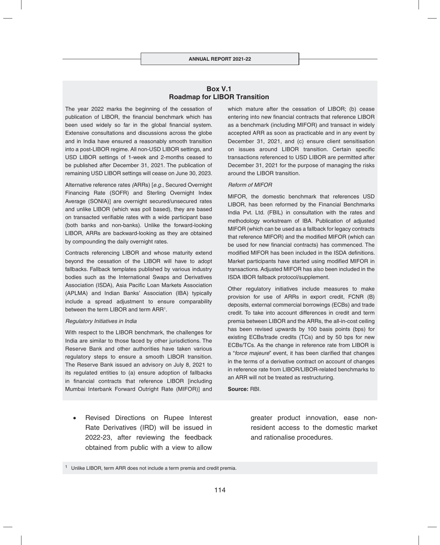#### **Box V.1 Roadmap for LIBOR Transition**

The year 2022 marks the beginning of the cessation of publication of LIBOR, the financial benchmark which has been used widely so far in the global financial system. Extensive consultations and discussions across the globe and in India have ensured a reasonably smooth transition into a post-LIBOR regime. All non-USD LIBOR settings, and USD LIBOR settings of 1-week and 2-months ceased to be published after December 31, 2021. The publication of remaining USD LIBOR settings will cease on June 30, 2023.

Alternative reference rates *(*ARRs) [*e.g.,* Secured Overnight Financing Rate (SOFR) and Sterling Overnight Index Average (SONIA)] are overnight secured/unsecured rates and unlike LIBOR (which was poll based), they are based on transacted verifiable rates with a wide participant base (both banks and non-banks). Unlike the forward-looking LIBOR, ARRs are backward-looking as they are obtained by compounding the daily overnight rates.

Contracts referencing LIBOR and whose maturity extend beyond the cessation of the LIBOR will have to adopt fallbacks. Fallback templates published by various industry bodies such as the International Swaps and Derivatives Association (ISDA), Asia Pacific Loan Markets Association (APLMA) and Indian Banks' Association (IBA) typically include a spread adjustment to ensure comparability between the term LIBOR and term ARR<sup>1</sup>.

#### *Regulatory Initiatives in India*

With respect to the LIBOR benchmark, the challenges for India are similar to those faced by other jurisdictions. The Reserve Bank and other authorities have taken various regulatory steps to ensure a smooth LIBOR transition. The Reserve Bank issued an advisory on July 8, 2021 to its regulated entities to (a) ensure adoption of fallbacks in financial contracts that reference LIBOR [including Mumbai Interbank Forward Outright Rate (MIFOR)] and

• Revised Directions on Rupee Interest Rate Derivatives (IRD) will be issued in 2022-23, after reviewing the feedback obtained from public with a view to allow

which mature after the cessation of LIBOR; (b) cease entering into new financial contracts that reference LIBOR as a benchmark (including MIFOR) and transact in widely accepted ARR as soon as practicable and in any event by December 31, 2021, and (c) ensure client sensitisation on issues around LIBOR transition. Certain specific transactions referenced to USD LIBOR are permitted after December 31, 2021 for the purpose of managing the risks around the LIBOR transition.

#### *Reform of MIFOR*

MIFOR, the domestic benchmark that references USD LIBOR, has been reformed by the Financial Benchmarks India Pvt. Ltd. (FBIL) in consultation with the rates and methodology workstream of IBA. Publication of adjusted MIFOR (which can be used as a fallback for legacy contracts that reference MIFOR) and the modified MIFOR (which can be used for new financial contracts) has commenced. The modified MIFOR has been included in the ISDA definitions. Market participants have started using modified MIFOR in transactions. Adjusted MIFOR has also been included in the ISDA IBOR fallback protocol/supplement.

Other regulatory initiatives include measures to make provision for use of ARRs in export credit, FCNR (B) deposits, external commercial borrowings (ECBs) and trade credit. To take into account differences in credit and term premia between LIBOR and the ARRs, the all-in-cost ceiling has been revised upwards by 100 basis points (bps) for existing ECBs/trade credits (TCs) and by 50 bps for new ECBs/TCs. As the change in reference rate from LIBOR is a "force majeure" event, it has been clarified that changes in the terms of a derivative contract on account of changes in reference rate from LIBOR/LIBOR-related benchmarks to an ARR will not be treated as restructuring.

**Source:** RBI.

greater product innovation, ease nonresident access to the domestic market and rationalise procedures.

<sup>&</sup>lt;sup>1</sup> Unlike LIBOR, term ARR does not include a term premia and credit premia.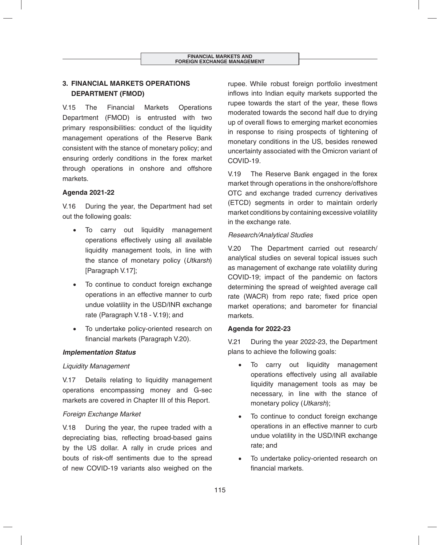# **3. FINANCIAL MARKETS OPERATIONS DEPARTMENT (FMOD)**

V.15 The Financial Markets Operations Department (FMOD) is entrusted with two primary responsibilities: conduct of the liquidity management operations of the Reserve Bank consistent with the stance of monetary policy; and ensuring orderly conditions in the forex market through operations in onshore and offshore markets.

### **Agenda 2021-22**

V.16 During the year, the Department had set out the following goals:

- To carry out liquidity management operations effectively using all available liquidity management tools, in line with the stance of monetary policy (*Utkarsh*) [Paragraph V.17];
- To continue to conduct foreign exchange operations in an effective manner to curb undue volatility in the USD/INR exchange rate (Paragraph V.18 - V.19); and
- To undertake policy-oriented research on financial markets (Paragraph V.20).

#### *Implementation Status*

#### *Liquidity Management*

V.17 Details relating to liquidity management operations encompassing money and G-sec markets are covered in Chapter III of this Report.

#### *Foreign Exchange Market*

V.18 During the year, the rupee traded with a depreciating bias, reflecting broad-based gains by the US dollar. A rally in crude prices and bouts of risk-off sentiments due to the spread of new COVID-19 variants also weighed on the rupee. While robust foreign portfolio investment inflows into Indian equity markets supported the rupee towards the start of the year, these flows moderated towards the second half due to drying up of overall flows to emerging market economies in response to rising prospects of tightening of monetary conditions in the US, besides renewed uncertainty associated with the Omicron variant of COVID-19.

V.19 The Reserve Bank engaged in the forex market through operations in the onshore/offshore OTC and exchange traded currency derivatives (ETCD) segments in order to maintain orderly market conditions by containing excessive volatility in the exchange rate.

#### *Research/Analytical Studies*

V.20 The Department carried out research/ analytical studies on several topical issues such as management of exchange rate volatility during COVID-19; impact of the pandemic on factors determining the spread of weighted average call rate (WACR) from repo rate; fixed price open market operations; and barometer for financial markets.

#### **Agenda for 2022-23**

V.21 During the year 2022-23, the Department plans to achieve the following goals:

- To carry out liquidity management operations effectively using all available liquidity management tools as may be necessary, in line with the stance of monetary policy (*Utkarsh*);
- To continue to conduct foreign exchange operations in an effective manner to curb undue volatility in the USD/INR exchange rate; and
- To undertake policy-oriented research on financial markets.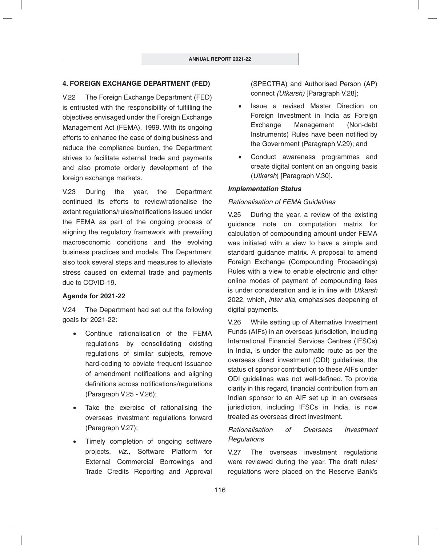### **4. FOREIGN EXCHANGE DEPARTMENT (FED)**

V.22 The Foreign Exchange Department (FED) is entrusted with the responsibility of fulfilling the objectives envisaged under the Foreign Exchange Management Act (FEMA), 1999. With its ongoing efforts to enhance the ease of doing business and reduce the compliance burden, the Department strives to facilitate external trade and payments and also promote orderly development of the foreign exchange markets.

V.23 During the year, the Department continued its efforts to review/rationalise the extant regulations/rules/notifications issued under the FEMA as part of the ongoing process of aligning the regulatory framework with prevailing macroeconomic conditions and the evolving business practices and models. The Department also took several steps and measures to alleviate stress caused on external trade and payments due to COVID-19.

#### **Agenda for 2021-22**

V.24 The Department had set out the following goals for 2021-22:

- Continue rationalisation of the FEMA regulations by consolidating existing regulations of similar subjects, remove hard-coding to obviate frequent issuance of amendment notifications and aligning definitions across notifications/regulations (Paragraph V.25 - V.26);
- Take the exercise of rationalising the overseas investment regulations forward (Paragraph V.27);
- Timely completion of ongoing software projects, *viz.,* Software Platform for External Commercial Borrowings and Trade Credits Reporting and Approval

(SPECTRA) and Authorised Person (AP) connect *(Utkarsh)* [Paragraph V.28];

- Issue a revised Master Direction on Foreign Investment in India as Foreign Exchange Management (Non-debt Instruments) Rules have been notified by the Government (Paragraph V.29); and
- Conduct awareness programmes and create digital content on an ongoing basis (*Utkarsh*) [Paragraph V.30].

#### *Implementation Status*

#### *Rationalisation of FEMA Guidelines*

V.25 During the year, a review of the existing guidance note on computation matrix for calculation of compounding amount under FEMA was initiated with a view to have a simple and standard guidance matrix. A proposal to amend Foreign Exchange (Compounding Proceedings) Rules with a view to enable electronic and other online modes of payment of compounding fees is under consideration and is in line with *Utkarsh* 2022, which, *inter alia*, emphasises deepening of digital payments.

V.26 While setting up of Alternative Investment Funds (AIFs) in an overseas jurisdiction, including International Financial Services Centres (IFSCs) in India, is under the automatic route as per the overseas direct investment (ODI) guidelines, the status of sponsor contribution to these AIFs under ODI guidelines was not well-defined. To provide clarity in this regard, financial contribution from an Indian sponsor to an AIF set up in an overseas jurisdiction, including IFSCs in India, is now treated as overseas direct investment.

### *Rationalisation of Overseas Investment Regulations*

V.27 The overseas investment regulations were reviewed during the year. The draft rules/ regulations were placed on the Reserve Bank's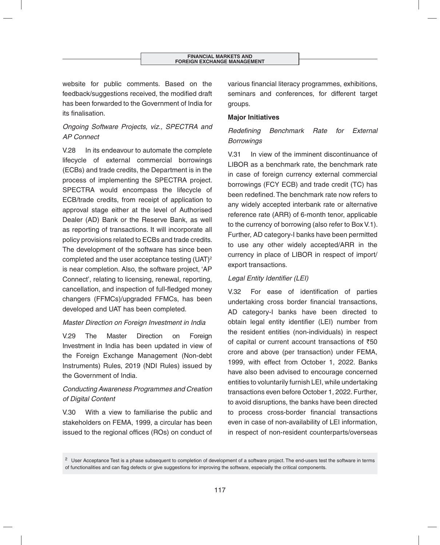website for public comments. Based on the feedback/suggestions received, the modified draft has been forwarded to the Government of India for its finalisation.

# *Ongoing Software Projects, viz., SPECTRA and AP Connect*

V.28 In its endeavour to automate the complete lifecycle of external commercial borrowings (ECBs) and trade credits, the Department is in the process of implementing the SPECTRA project. SPECTRA would encompass the lifecycle of ECB/trade credits, from receipt of application to approval stage either at the level of Authorised Dealer (AD) Bank or the Reserve Bank, as well as reporting of transactions. It will incorporate all policy provisions related to ECBs and trade credits. The development of the software has since been completed and the user acceptance testing (UAT)<sup>2</sup> is near completion. Also, the software project, 'AP Connect', relating to licensing, renewal, reporting, cancellation, and inspection of full-fledged money changers (FFMCs)/upgraded FFMCs, has been developed and UAT has been completed.

### *Master Direction on Foreign Investment in India*

V.29 The Master Direction on Foreign Investment in India has been updated in view of the Foreign Exchange Management (Non-debt Instruments) Rules, 2019 (NDI Rules) issued by the Government of India.

# *Conducting Awareness Programmes and Creation of Digital Content*

V.30 With a view to familiarise the public and stakeholders on FEMA, 1999, a circular has been issued to the regional offices (ROs) on conduct of various financial literacy programmes, exhibitions, seminars and conferences, for different target groups.

### **Major Initiatives**

# **Redefining Benchmark Rate for External** *Borrowings*

V.31 In view of the imminent discontinuance of LIBOR as a benchmark rate, the benchmark rate in case of foreign currency external commercial borrowings (FCY ECB) and trade credit (TC) has been redefined. The benchmark rate now refers to any widely accepted interbank rate or alternative reference rate (ARR) of 6-month tenor, applicable to the currency of borrowing (also refer to Box V.1). Further, AD category-I banks have been permitted to use any other widely accepted/ARR in the currency in place of LIBOR in respect of import/ export transactions.

### **Legal Entity Identifier (LEI)**

V.32 For ease of identification of parties undertaking cross border financial transactions, AD category-I banks have been directed to obtain legal entity identifier (LEI) number from the resident entities (non-individuals) in respect of capital or current account transactions of  $\bar{z}50$ crore and above (per transaction) under FEMA, 1999, with effect from October 1, 2022. Banks have also been advised to encourage concerned entities to voluntarily furnish LEI, while undertaking transactions even before October 1, 2022. Further, to avoid disruptions, the banks have been directed to process cross-border financial transactions even in case of non-availability of LEI information, in respect of non-resident counterparts/overseas

<sup>&</sup>lt;sup>2</sup> User Acceptance Test is a phase subsequent to completion of development of a software project. The end-users test the software in terms of functionalities and can flag defects or give suggestions for improving the software, especially the critical components.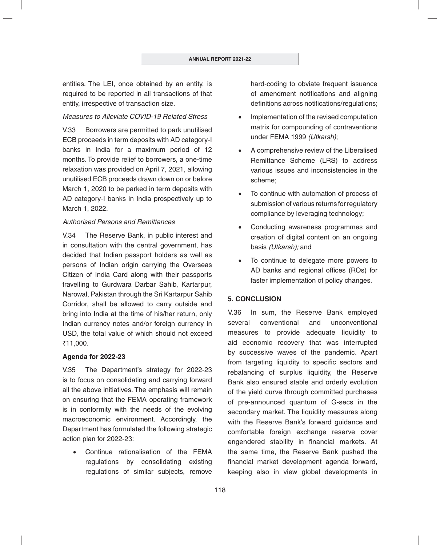entities. The LEI, once obtained by an entity, is required to be reported in all transactions of that entity, irrespective of transaction size.

#### *Measures to Alleviate COVID-19 Related Stress*

V.33 Borrowers are permitted to park unutilised ECB proceeds in term deposits with AD category-I banks in India for a maximum period of 12 months. To provide relief to borrowers, a one-time relaxation was provided on April 7, 2021, allowing unutilised ECB proceeds drawn down on or before March 1, 2020 to be parked in term deposits with AD category-I banks in India prospectively up to March 1, 2022.

#### *Authorised Persons and Remittances*

V.34 The Reserve Bank, in public interest and in consultation with the central government, has decided that Indian passport holders as well as persons of Indian origin carrying the Overseas Citizen of India Card along with their passports travelling to Gurdwara Darbar Sahib, Kartarpur, Narowal, Pakistan through the Sri Kartarpur Sahib Corridor, shall be allowed to carry outside and bring into India at the time of his/her return, only Indian currency notes and/or foreign currency in USD, the total value of which should not exceed `11,000.

#### **Agenda for 2022-23**

V.35 The Department's strategy for 2022-23 is to focus on consolidating and carrying forward all the above initiatives. The emphasis will remain on ensuring that the FEMA operating framework is in conformity with the needs of the evolving macroeconomic environment. Accordingly, the Department has formulated the following strategic action plan for 2022-23:

 Continue rationalisation of the FEMA regulations by consolidating existing regulations of similar subjects, remove

hard-coding to obviate frequent issuance of amendment notifications and aligning definitions across notifications/regulations;

- Implementation of the revised computation matrix for compounding of contraventions under FEMA 1999 *(Utkarsh)*;
- A comprehensive review of the Liberalised Remittance Scheme (LRS) to address various issues and inconsistencies in the scheme;
- To continue with automation of process of submission of various returns for regulatory compliance by leveraging technology;
- Conducting awareness programmes and creation of digital content on an ongoing basis *(Utkarsh);* and
- To continue to delegate more powers to AD banks and regional offices (ROs) for faster implementation of policy changes.

#### **5. CONCLUSION**

V.36 In sum, the Reserve Bank employed several conventional and unconventional measures to provide adequate liquidity to aid economic recovery that was interrupted by successive waves of the pandemic. Apart from targeting liquidity to specific sectors and rebalancing of surplus liquidity, the Reserve Bank also ensured stable and orderly evolution of the yield curve through committed purchases of pre-announced quantum of G-secs in the secondary market. The liquidity measures along with the Reserve Bank's forward guidance and comfortable foreign exchange reserve cover engendered stability in financial markets. At the same time, the Reserve Bank pushed the financial market development agenda forward, keeping also in view global developments in